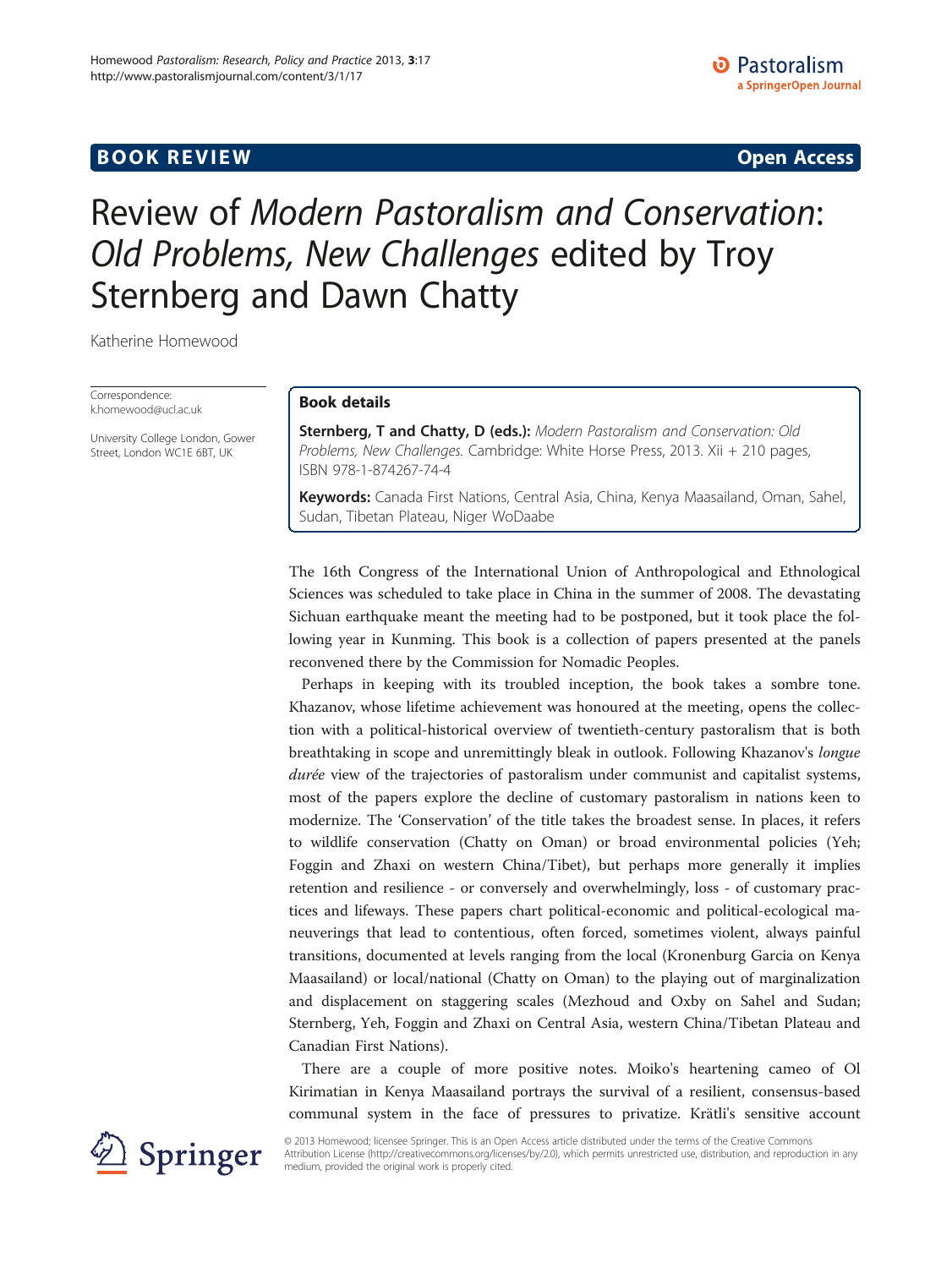# **BOOK REVIEW CONTROL** BOOK REVIEW

# Review of Modern Pastoralism and Conservation: Old Problems, New Challenges edited by Troy Sternberg and Dawn Chatty

Katherine Homewood

Correspondence: [k.homewood@ucl.ac.uk](mailto:k.homewood@ucl.ac.uk)

University College London, Gower Street, London WC1E 6BT, UK

## Book details

Sternberg, T and Chatty, D (eds.): Modern Pastoralism and Conservation: Old Problems, New Challenges. Cambridge: White Horse Press, 2013. Xii + 210 pages, ISBN 978-1-874267-74-4

Keywords: Canada First Nations, Central Asia, China, Kenya Maasailand, Oman, Sahel, Sudan, Tibetan Plateau, Niger WoDaabe

The 16th Congress of the International Union of Anthropological and Ethnological Sciences was scheduled to take place in China in the summer of 2008. The devastating Sichuan earthquake meant the meeting had to be postponed, but it took place the following year in Kunming. This book is a collection of papers presented at the panels reconvened there by the Commission for Nomadic Peoples.

Perhaps in keeping with its troubled inception, the book takes a sombre tone. Khazanov, whose lifetime achievement was honoured at the meeting, opens the collection with a political-historical overview of twentieth-century pastoralism that is both breathtaking in scope and unremittingly bleak in outlook. Following Khazanov's longue durée view of the trajectories of pastoralism under communist and capitalist systems, most of the papers explore the decline of customary pastoralism in nations keen to modernize. The 'Conservation' of the title takes the broadest sense. In places, it refers to wildlife conservation (Chatty on Oman) or broad environmental policies (Yeh; Foggin and Zhaxi on western China/Tibet), but perhaps more generally it implies retention and resilience - or conversely and overwhelmingly, loss - of customary practices and lifeways. These papers chart political-economic and political-ecological maneuverings that lead to contentious, often forced, sometimes violent, always painful transitions, documented at levels ranging from the local (Kronenburg Garcia on Kenya Maasailand) or local/national (Chatty on Oman) to the playing out of marginalization and displacement on staggering scales (Mezhoud and Oxby on Sahel and Sudan; Sternberg, Yeh, Foggin and Zhaxi on Central Asia, western China/Tibetan Plateau and Canadian First Nations).

There are a couple of more positive notes. Moiko's heartening cameo of Ol Kirimatian in Kenya Maasailand portrays the survival of a resilient, consensus-based communal system in the face of pressures to privatize. Krätli's sensitive account



© 2013 Homewood; licensee Springer. This is an Open Access article distributed under the terms of the Creative Commons Attribution License [\(http://creativecommons.org/licenses/by/2.0\)](http://creativecommons.org/licenses/by/2.0), which permits unrestricted use, distribution, and reproduction in any medium, provided the original work is properly cited.